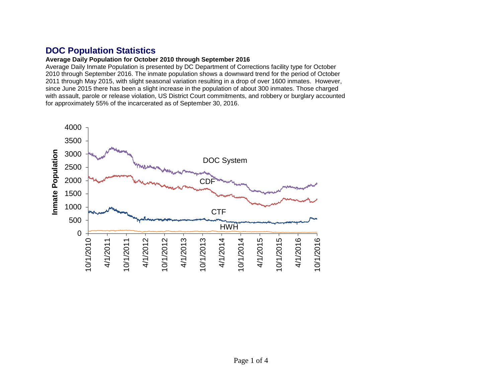# **DOC Population Statistics**

#### **Average Daily Population for October 2010 through September 2016**

Average Daily Inmate Population is presented by DC Department of Corrections facility type for October 2010 through September 2016. The inmate population shows a downward trend for the period of October 2011 through May 2015, with slight seasonal variation resulting in a drop of over 1600 inmates. However, since June 2015 there has been a slight increase in the population of about 300 inmates. Those charged with assault, parole or release violation, US District Court commitments, and robbery or burglary accounted for approximately 55% of the incarcerated as of September 30, 2016.

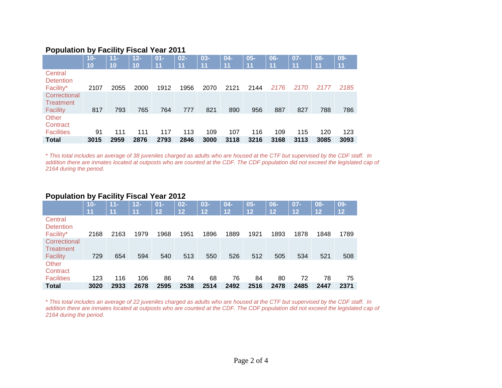### **Population by Facility Fiscal Year 2011**

|                                              | $10 -$ | $11 -$ | $12 -$ | $01 -$ | $02 -$ | $03 -$ | $04 -$ | $05 -$ | $06 -$ | $07 -$ | $08 -$ | $09 -$ |
|----------------------------------------------|--------|--------|--------|--------|--------|--------|--------|--------|--------|--------|--------|--------|
|                                              | 10     | 10     | 10     | 11     | 11     | 11     | 11     | 11     | 11     | 11     | 11     | 11     |
| Central<br><b>Detention</b><br>Facility*     | 2107   | 2055   | 2000   | 1912   | 1956   | 2070   | 2121   | 2144   | 2176   | 2170   | 2177   | 2185   |
| Correctional<br>Treatment<br><b>Facility</b> | 817    | 793    | 765    | 764    | 777    | 821    | 890    | 956    | 887    | 827    | 788    | 786    |
| Other<br>Contract<br><b>Facilities</b>       | 91     | 111    | 111    | 117    | 113    | 109    | 107    | 116    | 109    | 115    | 120    | 123    |
| <b>Total</b>                                 | 3015   | 2959   | 2876   | 2793   | 2846   | 3000   | 3118   | 3216   | 3168   | 3113   | 3085   | 3093   |

\* *This total includes an average of 38 juveniles charged as adults who are housed at the CTF but supervised by the CDF staff. In addition there are inmates located at outposts who are counted at the CDF. The CDF population did not exceed the legislated cap of 2164 during the period*.

## **Population by Facility Fiscal Year 2012**

|                                          | $10-$ | $11 -$ | $12 -$ | $01 -$ | $02 -$ | $03 -$ | $04-$           | $05 -$ | 06-  | $07 -$          | 08-               | $09-$             |
|------------------------------------------|-------|--------|--------|--------|--------|--------|-----------------|--------|------|-----------------|-------------------|-------------------|
|                                          | 11    | 11     | 11     | 12     | 12     | 12     | $\overline{12}$ | 12     | 12   | $\overline{12}$ | $12 \overline{ }$ | $12 \overline{ }$ |
| Central<br><b>Detention</b><br>Facility* | 2168  | 2163   | 1979   | 1968   | 1951   | 1896   | 1889            | 1921   | 1893 | 1878            | 1848              | 1789              |
|                                          |       |        |        |        |        |        |                 |        |      |                 |                   |                   |
| Correctional<br>Treatment<br>Facility    | 729   | 654    | 594    | 540    | 513    | 550    | 526             | 512    | 505  | 534             | 521               | 508               |
| Other<br>Contract                        |       |        |        |        |        |        |                 |        |      |                 |                   |                   |
| <b>Facilities</b>                        | 123   | 116    | 106    | 86     | 74     | 68     | 76              | 84     | 80   | 72              | 78                | 75                |
| <b>Total</b>                             | 3020  | 2933   | 2678   | 2595   | 2538   | 2514   | 2492            | 2516   | 2478 | 2485            | 2447              | 2371              |

\* *This total includes an average of 22 juveniles charged as adults who are housed at the CTF but supervised by the CDF staff. In addition there are inmates located at outposts who are counted at the CDF. The CDF population did not exceed the legislated cap of 2164 during the period*.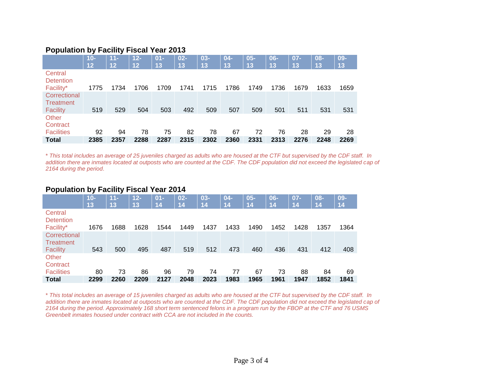### **Population by Facility Fiscal Year 2013**

|                                              | $10-$ | $11 -$          | $12 -$ | $01 -$ | $02 -$ | $03 -$ | $04 -$ | $05 -$ | 06-  | $07 -$ | $08 -$ | 09-  |
|----------------------------------------------|-------|-----------------|--------|--------|--------|--------|--------|--------|------|--------|--------|------|
|                                              | 12    | $\overline{12}$ | 12     | 13     | 13     | 13     | 13     | 13     | 13   | 13     | 13     | 13   |
| Central<br><b>Detention</b><br>Facility*     | 1775  | 1734            | 1706   | 1709   | 1741   | 1715   | 1786   | 1749   | 1736 | 1679   | 1633   | 1659 |
|                                              |       |                 |        |        |        |        |        |        |      |        |        |      |
| Correctional<br>Treatment<br><b>Facility</b> | 519   | 529             | 504    | 503    | 492    | 509    | 507    | 509    | 501  | 511    | 531    | 531  |
| Other<br>Contract                            |       |                 |        |        |        |        |        |        |      |        |        |      |
| <b>Facilities</b>                            | 92    | 94              | 78     | 75     | 82     | 78     | 67     | 72     | 76   | 28     | 29     | 28   |
| <b>Total</b>                                 | 2385  | 2357            | 2288   | 2287   | 2315   | 2302   | 2360   | 2331   | 2313 | 2276   | 2248   | 2269 |

\* *This total includes an average of 25 juveniles charged as adults who are housed at the CTF but supervised by the CDF staff. In addition there are inmates located at outposts who are counted at the CDF. The CDF population did not exceed the legislated cap of 2164 during the period*.

#### **Population by Facility Fiscal Year 2014**

|                             | $10 -$ | $11 -$ | $12 -$ | $01 -$ | $02 -$ | $03 -$ | $04-$ | $05 -$ | $06 -$ | 07-  | $08 -$ | $09 -$ |
|-----------------------------|--------|--------|--------|--------|--------|--------|-------|--------|--------|------|--------|--------|
|                             | 13     | 13     | 13     | 14     | 14     | 14     | 14    | 14     | 14     | 14   | 14     | 14     |
| Central<br><b>Detention</b> |        |        |        |        |        |        |       |        |        |      |        |        |
| Facility*                   | 1676   | 1688   | 1628   | 1544   | 1449   | 1437   | 1433  | 1490   | 1452   | 1428 | 1357   | 1364   |
| Correctional<br>Treatment   |        |        |        |        |        |        |       |        |        |      |        |        |
| <b>Facility</b>             | 543    | 500    | 495    | 487    | 519    | 512    | 473   | 460    | 436    | 431  | 412    | 408    |
| Other<br>Contract           |        |        |        |        |        |        |       |        |        |      |        |        |
| <b>Facilities</b>           | 80     | 73     | 86     | 96     | 79     | 74     | 77    | 67     | 73     | 88   | 84     | 69     |
| <b>Total</b>                | 2299   | 2260   | 2209   | 2127   | 2048   | 2023   | 1983  | 1965   | 1961   | 1947 | 1852   | 1841   |

\* *This total includes an average of 15 juveniles charged as adults who are housed at the CTF but supervised by the CDF staff. In addition there are inmates located at outposts who are counted at the CDF. The CDF population did not exceed the legislated cap of 2164 during the period*. *Approximately 168 short term sentenced felons in a program run by the FBOP at the CTF and 76 USMS Greenbelt inmates housed under contract with CCA are not included in the counts.*